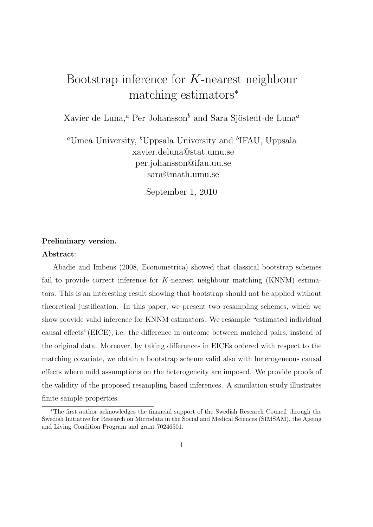# Bootstrap inference for K-nearest neighbour matching estimators<sup>∗</sup>

Xavier de Luna,<sup>a</sup> Per Johansson<sup>b</sup> and Sara Sjöstedt-de Luna<sup>a</sup>

<sup>a</sup>Umeå University, <sup>b</sup>Uppsala University and <sup>b</sup>IFAU, Uppsala xavier.deluna@stat.umu.se per.johansson@ifau.uu.se sara@math.umu.se

September 1, 2010

#### Preliminary version.

#### Abstract:

Abadie and Imbens (2008, Econometrica) showed that classical bootstrap schemes fail to provide correct inference for K-nearest neighbour matching (KNNM) estimators. This is an interesting result showing that bootstrap should not be applied without theoretical justification. In this paper, we present two resampling schemes, which we show provide valid inference for KNNM estimators. We resample "estimated individual causal effects"(EICE), i.e. the difference in outcome between matched pairs, instead of the original data. Moreover, by taking differences in EICEs ordered with respect to the matching covariate, we obtain a bootstrap scheme valid also with heterogeneous causal effects where mild assumptions on the heterogeneity are imposed. We provide proofs of the validity of the proposed resampling based inferences. A simulation study illustrates finite sample properties.

<sup>∗</sup>The first author acknowledges the financial support of the Swedish Research Council through the Swedish Initiative for Research on Microdata in the Social and Medical Sciences (SIMSAM), the Ageing and Living Condition Program and grant 70246501.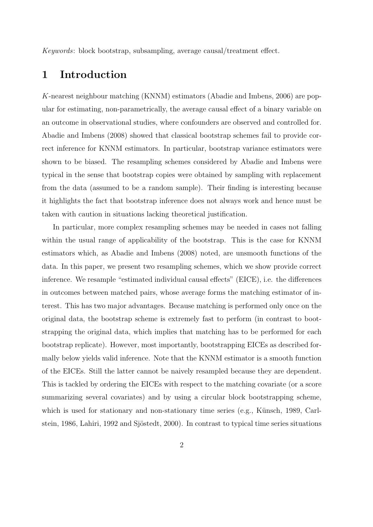Keywords: block bootstrap, subsampling, average causal/treatment effect.

## 1 Introduction

K-nearest neighbour matching (KNNM) estimators (Abadie and Imbens, 2006) are popular for estimating, non-parametrically, the average causal effect of a binary variable on an outcome in observational studies, where confounders are observed and controlled for. Abadie and Imbens (2008) showed that classical bootstrap schemes fail to provide correct inference for KNNM estimators. In particular, bootstrap variance estimators were shown to be biased. The resampling schemes considered by Abadie and Imbens were typical in the sense that bootstrap copies were obtained by sampling with replacement from the data (assumed to be a random sample). Their finding is interesting because it highlights the fact that bootstrap inference does not always work and hence must be taken with caution in situations lacking theoretical justification.

In particular, more complex resampling schemes may be needed in cases not falling within the usual range of applicability of the bootstrap. This is the case for KNNM estimators which, as Abadie and Imbens (2008) noted, are unsmooth functions of the data. In this paper, we present two resampling schemes, which we show provide correct inference. We resample "estimated individual causal effects" (EICE), i.e. the differences in outcomes between matched pairs, whose average forms the matching estimator of interest. This has two major advantages. Because matching is performed only once on the original data, the bootstrap scheme is extremely fast to perform (in contrast to bootstrapping the original data, which implies that matching has to be performed for each bootstrap replicate). However, most importantly, bootstrapping EICEs as described formally below yields valid inference. Note that the KNNM estimator is a smooth function of the EICEs. Still the latter cannot be naively resampled because they are dependent. This is tackled by ordering the EICEs with respect to the matching covariate (or a score summarizing several covariates) and by using a circular block bootstrapping scheme, which is used for stationary and non-stationary time series  $(e.g., Künsch, 1989, Carl-<sub>-</sub>)$ stein, 1986, Lahiri, 1992 and Sjöstedt, 2000). In contrast to typical time series situations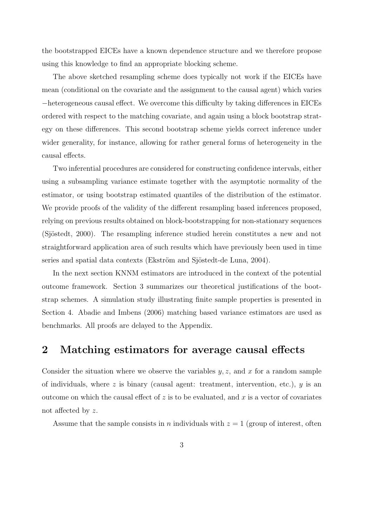the bootstrapped EICEs have a known dependence structure and we therefore propose using this knowledge to find an appropriate blocking scheme.

The above sketched resampling scheme does typically not work if the EICEs have mean (conditional on the covariate and the assignment to the causal agent) which varies −heterogeneous causal effect. We overcome this difficulty by taking differences in EICEs ordered with respect to the matching covariate, and again using a block bootstrap strategy on these differences. This second bootstrap scheme yields correct inference under wider generality, for instance, allowing for rather general forms of heterogeneity in the causal effects.

Two inferential procedures are considered for constructing confidence intervals, either using a subsampling variance estimate together with the asymptotic normality of the estimator, or using bootstrap estimated quantiles of the distribution of the estimator. We provide proofs of the validity of the different resampling based inferences proposed, relying on previous results obtained on block-bootstrapping for non-stationary sequences (Sjöstedt, 2000). The resampling inference studied herein constitutes a new and not straightforward application area of such results which have previously been used in time series and spatial data contexts (Ekström and Sjöstedt-de Luna, 2004).

In the next section KNNM estimators are introduced in the context of the potential outcome framework. Section 3 summarizes our theoretical justifications of the bootstrap schemes. A simulation study illustrating finite sample properties is presented in Section 4. Abadie and Imbens (2006) matching based variance estimators are used as benchmarks. All proofs are delayed to the Appendix.

### 2 Matching estimators for average causal effects

Consider the situation where we observe the variables  $y, z$ , and x for a random sample of individuals, where  $z$  is binary (causal agent: treatment, intervention, etc.),  $y$  is an outcome on which the causal effect of z is to be evaluated, and x is a vector of covariates not affected by z.

Assume that the sample consists in n individuals with  $z = 1$  (group of interest, often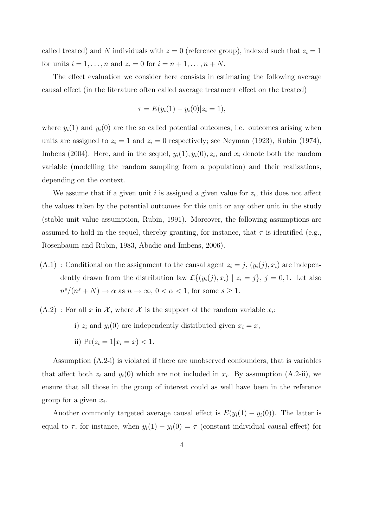called treated) and N individuals with  $z = 0$  (reference group), indexed such that  $z<sub>i</sub> = 1$ for units  $i = 1, ..., n$  and  $z_i = 0$  for  $i = n + 1, ..., n + N$ .

The effect evaluation we consider here consists in estimating the following average causal effect (in the literature often called average treatment effect on the treated)

$$
\tau = E(y_i(1) - y_i(0)|z_i = 1),
$$

where  $y_i(1)$  and  $y_i(0)$  are the so called potential outcomes, i.e. outcomes arising when units are assigned to  $z_i = 1$  and  $z_i = 0$  respectively; see Neyman (1923), Rubin (1974), Imbens (2004). Here, and in the sequel,  $y_i(1), y_i(0), z_i$ , and  $x_i$  denote both the random variable (modelling the random sampling from a population) and their realizations, depending on the context.

We assume that if a given unit  $i$  is assigned a given value for  $z_i$ , this does not affect the values taken by the potential outcomes for this unit or any other unit in the study (stable unit value assumption, Rubin, 1991). Moreover, the following assumptions are assumed to hold in the sequel, thereby granting, for instance, that  $\tau$  is identified (e.g., Rosenbaum and Rubin, 1983, Abadie and Imbens, 2006).

- $(A.1)$ : Conditional on the assignment to the causal agent  $z_i = j$ ,  $(y_i(j), x_i)$  are independently drawn from the distribution law  $\mathcal{L}\{(y_i(j), x_i) | z_i = j\}, j = 0, 1$ . Let also  $n^s/(n^s+N) \to \alpha$  as  $n \to \infty$ ,  $0 < \alpha < 1$ , for some  $s \ge 1$ .
- $(A.2)$ : For all x in X, where X is the support of the random variable  $x_i$ :
	- i)  $z_i$  and  $y_i(0)$  are independently distributed given  $x_i = x$ ,

ii) 
$$
Pr(z_i = 1 | x_i = x) < 1.
$$

Assumption (A.2-i) is violated if there are unobserved confounders, that is variables that affect both  $z_i$  and  $y_i(0)$  which are not included in  $x_i$ . By assumption (A.2-ii), we ensure that all those in the group of interest could as well have been in the reference group for a given  $x_i$ .

Another commonly targeted average causal effect is  $E(y_i(1) - y_i(0))$ . The latter is equal to  $\tau$ , for instance, when  $y_i(1) - y_i(0) = \tau$  (constant individual causal effect) for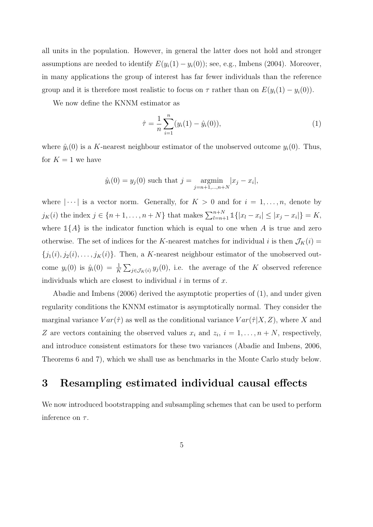all units in the population. However, in general the latter does not hold and stronger assumptions are needed to identify  $E(y_i(1) - y_i(0))$ ; see, e.g., Imbens (2004). Moreover, in many applications the group of interest has far fewer individuals than the reference group and it is therefore most realistic to focus on  $\tau$  rather than on  $E(y_i(1) - y_i(0))$ .

We now define the KNNM estimator as

$$
\hat{\tau} = \frac{1}{n} \sum_{i=1}^{n} (y_i(1) - \hat{y}_i(0)), \tag{1}
$$

where  $\hat{y}_i(0)$  is a K-nearest neighbour estimator of the unobserved outcome  $y_i(0)$ . Thus, for  $K = 1$  we have

$$
\hat{y}_i(0) = y_j(0)
$$
 such that  $j = \underset{j=n+1,...,n+N}{\text{argmin}} |x_j - x_i|$ ,

where  $|\cdots|$  is a vector norm. Generally, for  $K > 0$  and for  $i = 1, \ldots, n$ , denote by  $j_K(i)$  the index  $j \in \{n+1, ..., n+N\}$  that makes  $\sum_{l=n+1}^{n+N} 1\{ |x_l - x_i| \} \leq |x_j - x_i| \} = K$ , where  $\mathbb{1}{A}$  is the indicator function which is equal to one when A is true and zero otherwise. The set of indices for the K-nearest matches for individual i is then  $\mathcal{J}_K(i)$  ${j_1(i), j_2(i), \ldots, j_K(i)}$ . Then, a K-nearest neighbour estimator of the unobserved outcome  $y_i(0)$  is  $\hat{y}_i(0) = \frac{1}{K} \sum_{j \in \mathcal{J}_K(i)} y_j(0)$ , i.e. the average of the K observed reference individuals which are closest to individual  $i$  in terms of  $x$ .

Abadie and Imbens (2006) derived the asymptotic properties of (1), and under given regularity conditions the KNNM estimator is asymptotically normal. They consider the marginal variance  $Var(\hat{\tau})$  as well as the conditional variance  $Var(\hat{\tau}|X, Z)$ , where X and Z are vectors containing the observed values  $x_i$  and  $z_i$ ,  $i = 1, \ldots, n + N$ , respectively, and introduce consistent estimators for these two variances (Abadie and Imbens, 2006, Theorems 6 and 7), which we shall use as benchmarks in the Monte Carlo study below.

### 3 Resampling estimated individual causal effects

We now introduced bootstrapping and subsampling schemes that can be used to perform inference on  $\tau$ .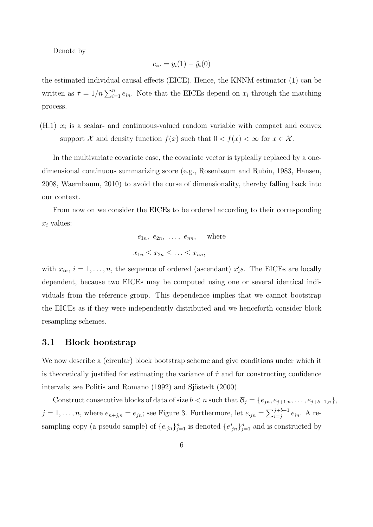Denote by

$$
e_{in} = y_i(1) - \hat{y}_i(0)
$$

the estimated individual causal effects (EICE). Hence, the KNNM estimator (1) can be written as  $\hat{\tau} = 1/n \sum_{i=1}^{n} e_{in}$ . Note that the EICEs depend on  $x_i$  through the matching process.

 $(H.1)$   $x_i$  is a scalar- and continuous-valued random variable with compact and convex support X and density function  $f(x)$  such that  $0 < f(x) < \infty$  for  $x \in \mathcal{X}$ .

In the multivariate covariate case, the covariate vector is typically replaced by a onedimensional continuous summarizing score (e.g., Rosenbaum and Rubin, 1983, Hansen, 2008, Waernbaum, 2010) to avoid the curse of dimensionality, thereby falling back into our context.

From now on we consider the EICEs to be ordered according to their corresponding  $x_i$  values:

$$
e_{1n}, e_{2n}, \ldots, e_{nn},
$$
 where  
 $x_{1n} \le x_{2n} \le \ldots \le x_{nn},$ 

with  $x_{in}$ ,  $i = 1, ..., n$ , the sequence of ordered (ascendant)  $x_i$ 's. The EICEs are locally dependent, because two EICEs may be computed using one or several identical individuals from the reference group. This dependence implies that we cannot bootstrap the EICEs as if they were independently distributed and we henceforth consider block resampling schemes.

#### 3.1 Block bootstrap

We now describe a (circular) block bootstrap scheme and give conditions under which it is theoretically justified for estimating the variance of  $\hat{\tau}$  and for constructing confidence intervals; see Politis and Romano (1992) and Sjöstedt (2000).

Construct consecutive blocks of data of size  $b < n$  such that  $\mathcal{B}_j = \{e_{jn}, e_{j+1,n}, \ldots, e_{j+b-1,n}\},\$  $j=1,\ldots,n$ , where  $e_{n+j,n}=e_{jn}$ ; see Figure 3. Furthermore, let  $e_{jn}=\sum_{i=j}^{j+b-1}e_{in}$ . A resampling copy (a pseudo sample) of  $\{e_{jn}\}_{j=1}^n$  is denoted  $\{e_{jn}^*\}_{j=1}^n$  and is constructed by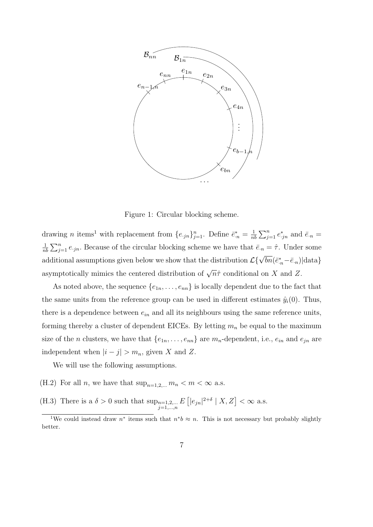

Figure 1: Circular blocking scheme.

drawing *n* items<sup>1</sup> with replacement from  $\{e_{jn}\}_{j=1}^n$ . Define  $\bar{e}_{n}^* = \frac{1}{n^i}$  $\frac{1}{nb} \sum_{j=1}^{n} e^*_{\cdot j n}$  and  $\bar{e}_{\cdot n} =$ 1  $\frac{1}{nb} \sum_{j=1}^{n} e_{jn}$ . Because of the circular blocking scheme we have that  $\bar{e}_{n} = \hat{\tau}$ . Under some additional assumptions given below we show that the distribution  $\mathcal{L}\{\sqrt{bn}(\bar{e}_{n}^*-\bar{e}_{n})| \text{data}\}$ asymptotically mimics the centered distribution of  $\sqrt{n}\hat{\tau}$  conditional on X and Z.

As noted above, the sequence  $\{e_{1n}, \ldots, e_{nn}\}$  is locally dependent due to the fact that the same units from the reference group can be used in different estimates  $\hat{y}_i(0)$ . Thus, there is a dependence between  $e_{in}$  and all its neighbours using the same reference units, forming thereby a cluster of dependent EICEs. By letting  $m_n$  be equal to the maximum size of the *n* clusters, we have that  $\{e_{1n}, \ldots, e_{nn}\}$  are  $m_n$ -dependent, i.e.,  $e_{in}$  and  $e_{jn}$  are independent when  $|i - j| > m_n$ , given X and Z.

We will use the following assumptions.

(H.2) For all *n*, we have that  $\sup_{n=1,2,\dots} m_n < m < \infty$  a.s.

(H.3) There is a  $\delta > 0$  such that  $\sup_{j=1,\dots,n}$  $E[|e_{jn}|^{2+\delta} | X, Z] < \infty$  a.s.

<sup>&</sup>lt;sup>1</sup>We could instead draw  $n^*$  items such that  $n^*b \approx n$ . This is not necessary but probably slightly better.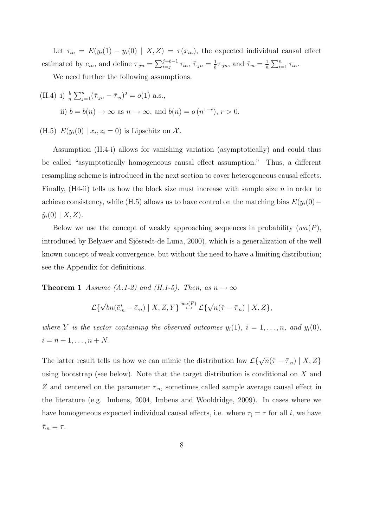Let  $\tau_{in} = E(y_i(1) - y_i(0) | X, Z) = \tau(x_{in})$ , the expected individual causal effect estimated by  $e_{in}$ , and define  $\tau_{jn} = \sum_{i=j}^{j+b-1} \tau_{in}$ ,  $\bar{\tau}_{jn} = \frac{1}{b}$  $\frac{1}{b}\tau_{jn}$ , and  $\bar{\tau}_{n} = \frac{1}{n}$  $\frac{1}{n} \sum_{i=1}^{n} \tau_{in}.$ 

We need further the following assumptions.

(H.4) i) 
$$
\frac{b}{n} \sum_{j=1}^{n} (\bar{\tau}_{jn} - \bar{\tau}_{n})^{2} = o(1)
$$
 a.s.,  
ii)  $b = b(n) \to \infty$  as  $n \to \infty$ , and  $b(n) = o(n^{1-r}), r > 0$ .

(H.5)  $E(y_i(0) | x_i, z_i = 0)$  is Lipschitz on  $\mathcal{X}$ .

Assumption (H.4-i) allows for vanishing variation (asymptotically) and could thus be called "asymptotically homogeneous causal effect assumption." Thus, a different resampling scheme is introduced in the next section to cover heterogeneous causal effects. Finally,  $(H4-i)$  tells us how the block size must increase with sample size n in order to achieve consistency, while (H.5) allows us to have control on the matching bias  $E(y_i(0)$ −  $\hat{y}_i(0) | X, Z$ .

Below we use the concept of weakly approaching sequences in probability  $(wa(P),$ introduced by Belyaev and Sjöstedt-de Luna, 2000), which is a generalization of the well known concept of weak convergence, but without the need to have a limiting distribution; see the Appendix for definitions.

**Theorem 1** Assume (A.1-2) and (H.1-5). Then, as  $n \to \infty$ 

$$
\mathcal{L}\{\sqrt{bn}(\bar{e}_{\cdot n}^* - \bar{e}_{\cdot n}) \mid X, Z, Y\} \stackrel{wa(P)}{\leftrightarrow} \mathcal{L}\{\sqrt{n}(\hat{\tau} - \bar{\tau}_{\cdot n}) \mid X, Z\},\
$$

where Y is the vector containing the observed outcomes  $y_i(1)$ ,  $i = 1, \ldots, n$ , and  $y_i(0)$ ,  $i = n + 1, \ldots, n + N.$ 

The latter result tells us how we can mimic the distribution law  $\mathcal{L}\{\sqrt{n}(\hat{\tau}-\bar{\tau}_n) | X, Z\}$ using bootstrap (see below). Note that the target distribution is conditional on  $X$  and Z and centered on the parameter  $\bar{\tau}_n$ , sometimes called sample average causal effect in the literature (e.g. Imbens, 2004, Imbens and Wooldridge, 2009). In cases where we have homogeneous expected individual causal effects, i.e. where  $\tau_i = \tau$  for all i, we have  $\bar{\tau}_{\cdot n} = \tau$ .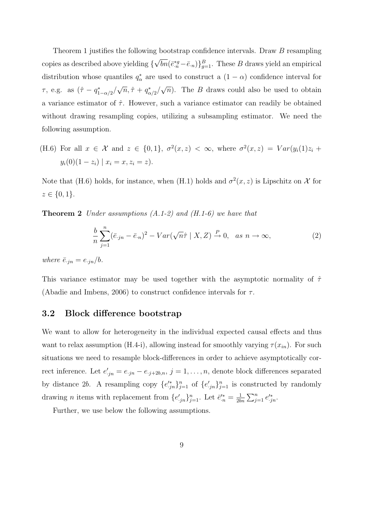Theorem 1 justifies the following bootstrap confidence intervals. Draw B resampling copies as described above yielding  $\{\sqrt{bn}(\bar{e}_{n}^{*g}-\bar{e}_{n})\}_{g=1}^{B}$ . These B draws yield an empirical distribution whose quantiles  $q^*_{\alpha}$  are used to construct a  $(1 - \alpha)$  confidence interval for τ, e.g. as  $(\hat{\tau} - q_{1-\alpha/2}^*/\sqrt{n}, \hat{\tau} + q_{\alpha/2}^*/\sqrt{n})$ . The *B* draws could also be used to obtain a variance estimator of  $\hat{\tau}$ . However, such a variance estimator can readily be obtained without drawing resampling copies, utilizing a subsampling estimator. We need the following assumption.

(H.6) For all 
$$
x \in \mathcal{X}
$$
 and  $z \in \{0,1\}$ ,  $\sigma^2(x, z) < \infty$ , where  $\sigma^2(x, z) = Var(y_i(1)z_i + y_i(0)(1-z_i) \mid x_i = x, z_i = z)$ .

Note that (H.6) holds, for instance, when (H.1) holds and  $\sigma^2(x, z)$  is Lipschitz on X for  $z \in \{0, 1\}.$ 

**Theorem 2** Under assumptions  $(A.1-2)$  and  $(H.1-6)$  we have that

$$
\frac{b}{n}\sum_{j=1}^{n}(\bar{e}_{.jn}-\bar{e}_{.n})^{2}-Var(\sqrt{n}\hat{\tau}\mid X,Z)\stackrel{P}{\to}0,\ \text{as}\ n\to\infty,
$$
\n(2)

where  $\bar{e}_{\cdot j n} = e_{\cdot j n}/b$ .

This variance estimator may be used together with the asymptotic normality of  $\hat{\tau}$ (Abadie and Imbens, 2006) to construct confidence intervals for  $\tau$ .

#### 3.2 Block difference bootstrap

We want to allow for heterogeneity in the individual expected causal effects and thus want to relax assumption (H.4-i), allowing instead for smoothly varying  $\tau(x_{in})$ . For such situations we need to resample block-differences in order to achieve asymptotically correct inference. Let  $e'_{jn} = e_{jn} - e_{j+2b,n}, j = 1, \ldots, n$ , denote block differences separated by distance 2b. A resampling copy  $\{e'_{jn}\}_{j=1}^n$  of  $\{e'_{.jn}\}_{j=1}^n$  is constructed by randomly drawing *n* items with replacement from  $\{e'_{.jn}\}_{j=1}^n$ . Let  $\bar{e}^{\prime *}_{.n} = \frac{1}{2b}$  $\frac{1}{2bn} \sum_{j=1}^{n} e'_{jn}.$ 

Further, we use below the following assumptions.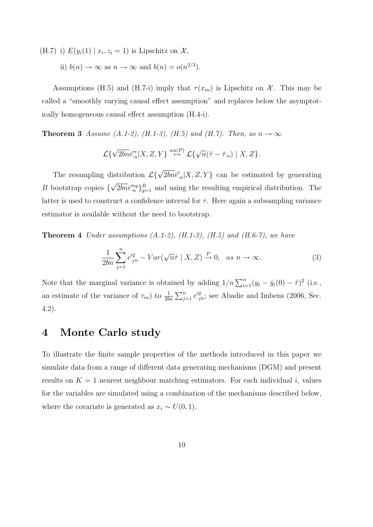(H.7) i)  $E(y_i(1) | x_i, z_i = 1)$  is Lipschitz on  $\mathcal{X},$ 

ii)  $b(n) \to \infty$  as  $n \to \infty$  and  $b(n) = o(n^{2/3})$ .

Assumptions (H.5) and (H.7-i) imply that  $\tau(x_{in})$  is Lipschitz on X. This may be called a "smoothly varying causal effect assumption" and replaces below the asymptotically homogeneous causal effect assumption (H.4-i).

**Theorem 3** Assume (A.1-2), (H.1-3), (H.5) and (H.7). Then, as  $n \to \infty$ 

$$
\mathcal{L}\{\sqrt{2bn}\bar{e}_{n}^{\prime*}|X,Z,Y\} \stackrel{wa(P)}{\leftrightarrow} \mathcal{L}\{\sqrt{n}(\hat{\tau}-\bar{\tau}_{n})|X,Z\}.
$$

The resampling distribution  $\mathcal{L}\{\sqrt{2bn}\bar{e}'_{n}|X, Z, Y\}$  can be estimated by generating B bootstrap copies  $\{\sqrt{2bn} \bar{e}_{n}^{\prime*} \}_{g=1}^{B}$  and using the resulting empirical distribution. The latter is used to construct a confidence interval for  $\tau$ . Here again a subsampling variance estimator is available without the need to bootstrap.

**Theorem 4** Under assumptions  $(A.1-2)$ ,  $(H.1-3)$ ,  $(H.5)$  and  $(H.6-7)$ , we have

$$
\frac{1}{2bn} \sum_{j=1}^{n} e_{jn}^{2} - Var(\sqrt{n}\hat{\tau} \mid X, Z) \stackrel{P}{\to} 0, \text{ as } n \to \infty.
$$
 (3)

Note that the marginal variance is obtained by adding  $1/n \sum_{i=1}^{n} (y_i - \hat{y}_i(0) - \hat{\tau})^2$  (i.e., an estimate of the variance of  $\tau_{in}$ ) to  $\frac{1}{2bn} \sum_{j=1}^{n} e_{j}^{2}$ ; see Abadie and Imbens (2006, Sec. 4.2).

### 4 Monte Carlo study

To illustrate the finite sample properties of the methods introduced in this paper we simulate data from a range of different data generating mechanisms (DGM) and present results on  $K = 1$  nearest neighbour matching estimators. For each individual i, values for the variables are simulated using a combination of the mechanisms described below, where the covariate is generated as  $x_i \sim U(0, 1)$ .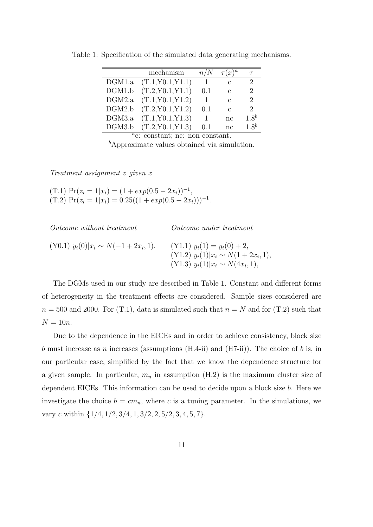|        | mechanism         | n/N | $\tau(x)^a$   | $\tau$                      |
|--------|-------------------|-----|---------------|-----------------------------|
| DGM1.a | (T.1, Y0.1, Y1.1) | -1  | $\mathcal{C}$ | 2                           |
| DGM1.b | (T.2, Y0.1, Y1.1) | 0.1 | $\mathbf{c}$  | 2                           |
| DGM2.a | (T.1, Y0.1, Y1.2) | 1   | $\mathcal{C}$ | 2                           |
| DGM2.b | (T.2, Y0.1, Y1.2) | 0.1 | $\mathbf{c}$  | $\mathcal{D}_{\mathcal{L}}$ |
| DGM3.a | (T.1, Y0.1, Y1.3) | 1   | nc            | $1.8^b$                     |
| DGM3.b | (T.2, Y0.1, Y1.3) | 0.1 | nc            | 1.8 <sup>b</sup>            |
| $\sim$ |                   |     |               |                             |

Table 1: Specification of the simulated data generating mechanisms.

<sup>a</sup>c: constant; nc: non-constant.

 $\delta$ Approximate values obtained via simulation.

Treatment assignment z given x

 $(T.1) \Pr(z_i = 1 | x_i) = (1 + exp(0.5 - 2x_i))^{-1},$ (T.2) Pr( $z_i = 1|x_i$ ) = 0.25((1 +  $exp(0.5 - 2x_i)$ ))<sup>-1</sup>.

Outcome without treatment Outcome under treatment

(Y0.1)  $y_i(0)|x_i \sim N(-1+2x_i, 1)$ .  $(Y1.1)$   $y_i(1) = y_i(0) + 2$ ,  $(Y1.2)$   $y_i(1)|x_i \sim N(1+2x_i, 1),$ (Y1.3)  $y_i(1)|x_i \sim N(4x_i, 1),$ 

The DGMs used in our study are described in Table 1. Constant and different forms of heterogeneity in the treatment effects are considered. Sample sizes considered are  $n = 500$  and 2000. For (T.1), data is simulated such that  $n = N$  and for (T.2) such that  $N = 10n$ .

Due to the dependence in the EICEs and in order to achieve consistency, block size b must increase as n increases (assumptions  $(H.4-i)$ ) and  $(H7-i)$ ). The choice of b is, in our particular case, simplified by the fact that we know the dependence structure for a given sample. In particular,  $m_n$  in assumption (H.2) is the maximum cluster size of dependent EICEs. This information can be used to decide upon a block size b. Here we investigate the choice  $b = cm_n$ , where c is a tuning parameter. In the simulations, we vary c within  $\{1/4, 1/2, 3/4, 1, 3/2, 2, 5/2, 3, 4, 5, 7\}.$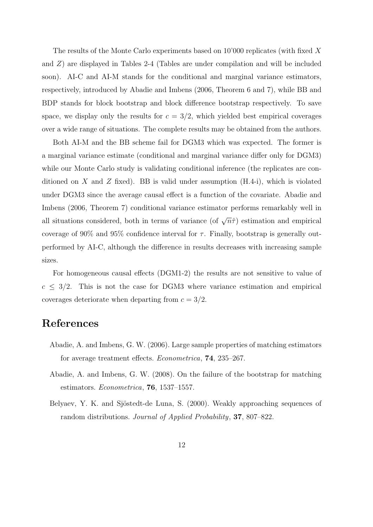The results of the Monte Carlo experiments based on 10'000 replicates (with fixed X and Z) are displayed in Tables 2-4 (Tables are under compilation and will be included soon). AI-C and AI-M stands for the conditional and marginal variance estimators, respectively, introduced by Abadie and Imbens (2006, Theorem 6 and 7), while BB and BDP stands for block bootstrap and block difference bootstrap respectively. To save space, we display only the results for  $c = 3/2$ , which yielded best empirical coverages over a wide range of situations. The complete results may be obtained from the authors.

Both AI-M and the BB scheme fail for DGM3 which was expected. The former is a marginal variance estimate (conditional and marginal variance differ only for DGM3) while our Monte Carlo study is validating conditional inference (the replicates are conditioned on X and Z fixed). BB is valid under assumption  $(H.4-i)$ , which is violated under DGM3 since the average causal effect is a function of the covariate. Abadie and Imbens (2006, Theorem 7) conditional variance estimator performs remarkably well in all situations considered, both in terms of variance (of  $\sqrt{n}\hat{\tau}$ ) estimation and empirical coverage of 90% and 95% confidence interval for  $\tau$ . Finally, bootstrap is generally outperformed by AI-C, although the difference in results decreases with increasing sample sizes.

For homogeneous causal effects (DGM1-2) the results are not sensitive to value of  $c \leq 3/2$ . This is not the case for DGM3 where variance estimation and empirical coverages deteriorate when departing from  $c = 3/2$ .

### References

- Abadie, A. and Imbens, G. W. (2006). Large sample properties of matching estimators for average treatment effects. Econometrica, 74, 235–267.
- Abadie, A. and Imbens, G. W. (2008). On the failure of the bootstrap for matching estimators. Econometrica, 76, 1537–1557.
- Belyaev, Y. K. and Sjöstedt-de Luna, S. (2000). Weakly approaching sequences of random distributions. Journal of Applied Probability, 37, 807–822.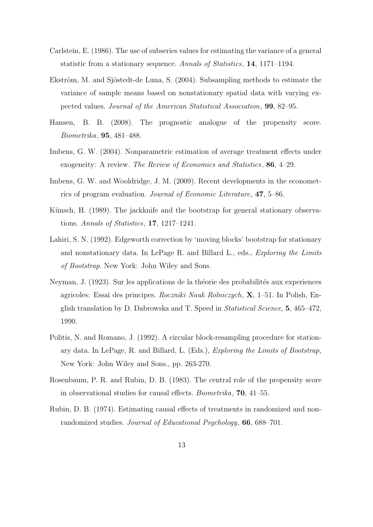- Carlstein, E. (1986). The use of subseries values for estimating the variance of a general statistic from a stationary sequence. Annals of Statistics, 14, 1171–1194.
- Ekström, M. and Sjöstedt-de Luna, S. (2004). Subsampling methods to estimate the variance of sample means based on nonstationary spatial data with varying expected values. Journal of the American Statistical Association, 99, 82–95.
- Hansen, B. B. (2008). The prognostic analogue of the propensity score. Biometrika, 95, 481–488.
- Imbens, G. W. (2004). Nonparametric estimation of average treatment effects under exogeneity: A review. The Review of Economics and Statistics, 86, 4–29.
- Imbens, G. W. and Wooldridge, J. M. (2009). Recent developments in the econometrics of program evaluation. Journal of Economic Literature, 47, 5–86.
- Künsch, H. (1989). The jackknife and the bootstrap for general stationary observations. Annals of Statistics, 17, 1217–1241.
- Lahiri, S. N. (1992). Edgeworth correction by 'moving blocks' bootstrap for stationary and nonstationary data. In LePage R. and Billard L., eds., Exploring the Limits of Bootstrap. New York: John Wiley and Sons.
- Neyman, J. (1923). Sur les applications de la théorie des probabilités aux experiences agricoles: Essai des principes. Roczniki Nauk Rolniczych, X, 1–51. In Polish, English translation by D. Dabrowska and T. Speed in Statistical Science, 5, 465–472, 1990.
- Politis, N. and Romano, J. (1992). A circular block-resampling procedure for stationary data. In LePage, R. and Billard, L. (Eds.), Exploring the Limits of Bootstrap, New York: John Wiley and Sons., pp. 263-270.
- Rosenbaum, P. R. and Rubin, D. B. (1983). The central role of the propensity score in observational studies for causal effects. Biometrika, 70, 41–55.
- Rubin, D. B. (1974). Estimating causal effects of treatments in randomized and nonrandomized studies. Journal of Educational Psychology, 66, 688–701.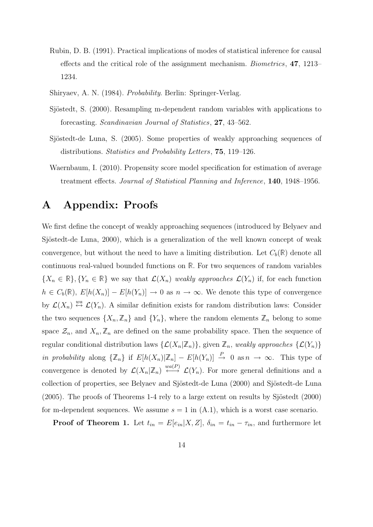- Rubin, D. B. (1991). Practical implications of modes of statistical inference for causal effects and the critical role of the assignment mechanism. Biometrics, 47, 1213– 1234.
- Shiryaev, A. N. (1984). Probability. Berlin: Springer-Verlag.
- Sjöstedt, S. (2000). Resampling m-dependent random variables with applications to forecasting. Scandinavian Journal of Statistics, 27, 43–562.
- Sjöstedt-de Luna, S. (2005). Some properties of weakly approaching sequences of distributions. Statistics and Probability Letters, 75, 119–126.
- Waernbaum, I. (2010). Propensity score model specification for estimation of average treatment effects. Journal of Statistical Planning and Inference, 140, 1948–1956.

# A Appendix: Proofs

We first define the concept of weakly approaching sequences (introduced by Belyaev and Sjöstedt-de Luna, 2000), which is a generalization of the well known concept of weak convergence, but without the need to have a limiting distribution. Let  $C_b(\mathbb{R})$  denote all continuous real-valued bounded functions on R. For two sequences of random variables  $\{X_n \in \mathbb{R}\}, \{Y_n \in \mathbb{R}\}$  we say that  $\mathcal{L}(X_n)$  weakly approaches  $\mathcal{L}(Y_n)$  if, for each function  $h \in C_b(\mathbb{R}), E[h(X_n)] - E[h(Y_n)] \to 0$  as  $n \to \infty$ . We denote this type of convergence by  $\mathcal{L}(X_n) \stackrel{wa}{\leftrightarrow} \mathcal{L}(Y_n)$ . A similar definition exists for random distribution laws: Consider the two sequences  $\{X_n, \mathbb{Z}_n\}$  and  $\{Y_n\}$ , where the random elements  $\mathbb{Z}_n$  belong to some space  $\mathcal{Z}_n$ , and  $X_n, \mathbb{Z}_n$  are defined on the same probability space. Then the sequence of regular conditional distribution laws  $\{\mathcal{L}(X_n|\mathbb{Z}_n)\}\$ , given  $\mathbb{Z}_n$ , weakly approaches  $\{\mathcal{L}(Y_n)\}\$ in probability along  $\{\mathbb{Z}_n\}$  if  $E[h(X_n)|\mathbb{Z}_n] - E[h(Y_n)] \stackrel{P}{\to} 0$  as  $n \to \infty$ . This type of convergence is denoted by  $\mathcal{L}(X_n|\mathbb{Z}_n) \stackrel{wa(P)}{\longleftrightarrow} \mathcal{L}(Y_n)$ . For more general definitions and a collection of properties, see Belyaev and Sjöstedt-de Luna (2000) and Sjöstedt-de Luna  $(2005)$ . The proofs of Theorems 1-4 rely to a large extent on results by Sjöstedt  $(2000)$ for m-dependent sequences. We assume  $s = 1$  in  $(A.1)$ , which is a worst case scenario.

**Proof of Theorem 1.** Let  $t_{in} = E[e_{in}|X, Z]$ ,  $\delta_{in} = t_{in} - \tau_{in}$ , and furthermore let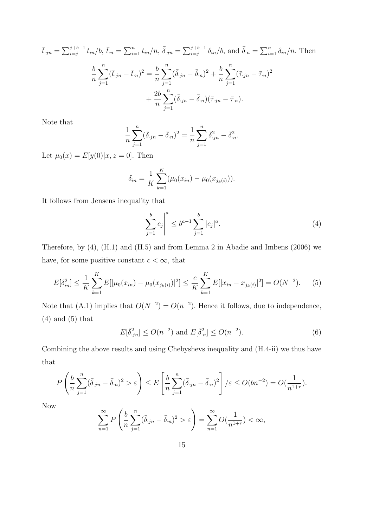$$
\bar{t}_{\cdot j n} = \sum_{i=j}^{j+b-1} t_{in}/b, \, \bar{t}_{\cdot n} = \sum_{i=1}^{n} t_{in}/n, \, \bar{\delta}_{\cdot j n} = \sum_{i=j}^{j+b-1} \delta_{in}/b, \, \text{and } \, \bar{\delta}_{\cdot n} = \sum_{i=1}^{n} \delta_{in}/n. \text{ Then}
$$
\n
$$
\frac{b}{n} \sum_{j=1}^{n} (\bar{t}_{\cdot j n} - \bar{t}_{\cdot n})^2 = \frac{b}{n} \sum_{j=1}^{n} (\bar{\delta}_{\cdot j n} - \bar{\delta}_{\cdot n})^2 + \frac{b}{n} \sum_{j=1}^{n} (\bar{\tau}_{\cdot j n} - \bar{\tau}_{\cdot n})^2 + \frac{2b}{n} \sum_{j=1}^{n} (\bar{\delta}_{\cdot j n} - \bar{\delta}_{\cdot n}) (\bar{\tau}_{\cdot j n} - \bar{\tau}_{\cdot n}).
$$

Note that

$$
\frac{1}{n}\sum_{j=1}^{n}(\bar{\delta}_{.jn} - \bar{\delta}_{.n})^2 = \frac{1}{n}\sum_{j=1}^{n}\bar{\delta}_{.jn}^2 - \bar{\delta}_{.n}^2.
$$

Let  $\mu_0(x) = E[y(0)|x, z = 0]$ . Then

$$
\delta_{in} = \frac{1}{K} \sum_{k=1}^{K} (\mu_0(x_{in}) - \mu_0(x_{j_k(i)})).
$$

It follows from Jensens inequality that

$$
\left| \sum_{j=1}^{b} c_j \right|^a \le b^{a-1} \sum_{j=1}^{b} |c_j|^a. \tag{4}
$$

Therefore, by (4), (H.1) and (H.5) and from Lemma 2 in Abadie and Imbens (2006) we have, for some positive constant  $c<\infty,$  that

$$
E[\delta_{in}^2] \le \frac{1}{K} \sum_{k=1}^K E[|\mu_0(x_{in}) - \mu_0(x_{j_k(i)})|^2] \le \frac{c}{K} \sum_{k=1}^K E[|x_{in} - x_{j_k(i)}|^2] = O(N^{-2}).
$$
 (5)

Note that (A.1) implies that  $O(N^{-2}) = O(n^{-2})$ . Hence it follows, due to independence, (4) and (5) that

$$
E[\bar{\delta}_{jn}^2] \le O(n^{-2}) \text{ and } E[\bar{\delta}_{n}^2] \le O(n^{-2}).
$$
 (6)

Combining the above results and using Chebyshevs inequality and (H.4-ii) we thus have that

$$
P\left(\frac{b}{n}\sum_{j=1}^n(\bar{\delta}_{\cdot jn}-\bar{\delta}_{\cdot n})^2>\varepsilon\right)\leq E\left[\frac{b}{n}\sum_{j=1}^n(\bar{\delta}_{\cdot jn}-\bar{\delta}_{\cdot n})^2\right]/\varepsilon\leq O(bn^{-2})=O(\frac{1}{n^{1+r}}).
$$

Now

$$
\sum_{n=1}^{\infty} P\left(\frac{b}{n}\sum_{j=1}^{n} (\bar{\delta}_{\cdot jn} - \bar{\delta}_{\cdot n})^2 > \varepsilon\right) = \sum_{n=1}^{\infty} O(\frac{1}{n^{1+r}}) < \infty,
$$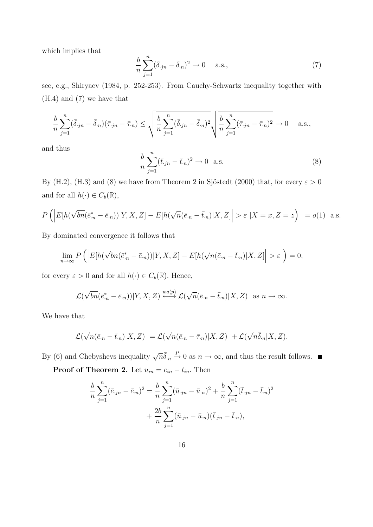which implies that

$$
\frac{b}{n}\sum_{j=1}^{n}(\bar{\delta}_{.jn}-\bar{\delta}_{.n})^2 \to 0 \quad \text{a.s.,}
$$
\n(7)

see, e.g., Shiryaev (1984, p. 252-253). From Cauchy-Schwartz inequality together with (H.4) and (7) we have that

$$
\frac{b}{n}\sum_{j=1}^{n}(\bar{\delta}_{jn}-\bar{\delta}_{n})(\bar{\tau}_{jn}-\bar{\tau}_{n})\leq \sqrt{\frac{b}{n}\sum_{j=1}^{n}(\bar{\delta}_{jn}-\bar{\delta}_{n})^{2}}\sqrt{\frac{b}{n}\sum_{j=1}^{n}(\bar{\tau}_{jn}-\bar{\tau}_{n})^{2}}\to 0 \quad \text{a.s.},
$$

and thus

$$
\frac{b}{n}\sum_{j=1}^{n}(\bar{t}_{.jn}-\bar{t}_{.n})^2 \to 0 \quad \text{a.s.}
$$
\n(8)

By (H.2), (H.3) and (8) we have from Theorem 2 in Sjöstedt (2000) that, for every  $\varepsilon > 0$ and for all  $h(\cdot) \in C_b(\mathbb{R}),$ 

$$
P\left(\left|E[h(\sqrt{bn}(\bar{e}_{n}^{*}-\bar{e}_{n}))|Y,X,Z]-E[h(\sqrt{n}(\bar{e}_{n}-\bar{t}_{n})|X,Z]\right|>\varepsilon |X=x,Z=z\right) = o(1) \text{ a.s.}
$$

By dominated convergence it follows that

$$
\lim_{n \to \infty} P\left( \left| E[h(\sqrt{bn}(\bar{e}_{\cdot n}^* - \bar{e}_{\cdot n}))|Y, X, Z] - E[h(\sqrt{n}(\bar{e}_{\cdot n} - \bar{t}_{\cdot n})|X, Z] \right| > \varepsilon \right) = 0,
$$

for every  $\varepsilon > 0$  and for all  $h(\cdot) \in C_b(\mathbb{R})$ . Hence,

$$
\mathcal{L}(\sqrt{bn}(\bar{e}_{n}^*-\bar{e}_{n}))|Y,X,Z) \xrightarrow{wa(p)} \mathcal{L}(\sqrt{n}(\bar{e}_{n}-\bar{t}_{n})|X,Z) \text{ as } n \to \infty.
$$

We have that

$$
\mathcal{L}(\sqrt{n}(\bar{e}_{n}-\bar{t}_{n})|X,Z) = \mathcal{L}(\sqrt{n}(\bar{e}_{n}-\bar{\tau}_{n})|X,Z) + \mathcal{L}(\sqrt{n}\bar{\delta}_{n}|X,Z).
$$

By (6) and Chebyshevs inequality  $\sqrt{n}\overline{\delta}_n \stackrel{P}{\to} 0$  as  $n \to \infty$ , and thus the result follows. **Proof of Theorem 2.** Let  $u_{in} = e_{in} - t_{in}$ . Then

$$
\frac{b}{n} \sum_{j=1}^{n} (\bar{e}_{.jn} - \bar{e}_{.n})^2 = \frac{b}{n} \sum_{j=1}^{n} (\bar{u}_{.jn} - \bar{u}_{.n})^2 + \frac{b}{n} \sum_{j=1}^{n} (\bar{t}_{.jn} - \bar{t}_{.n})^2
$$

$$
+ \frac{2b}{n} \sum_{j=1}^{n} (\bar{u}_{.jn} - \bar{u}_{.n})(\bar{t}_{.jn} - \bar{t}_{.n}),
$$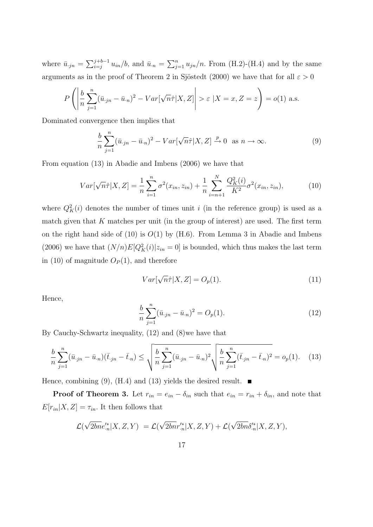where  $\bar{u}_{jn} = \sum_{i=j}^{j+b-1} u_{in}/b$ , and  $\bar{u}_{\cdot n} = \sum_{j=1}^{n} u_{jn}/n$ . From (H.2)-(H.4) and by the same arguments as in the proof of Theorem 2 in Sjöstedt (2000) we have that for all  $\varepsilon > 0$ 

$$
P\left(\left|\frac{b}{n}\sum_{j=1}^{n}(\bar{u}_{\cdot jn} - \bar{u}_{\cdot n})^2 - Var[\sqrt{n}\hat{\tau}|X, Z]\right| > \varepsilon |X = x, Z = z\right) = o(1) \text{ a.s.}
$$

Dominated convergence then implies that

$$
\frac{b}{n}\sum_{j=1}^{n}(\bar{u}_{.jn}-\bar{u}_{.n})^2 - Var[\sqrt{n}\hat{\tau}|X,Z] \xrightarrow{p} 0 \text{ as } n \to \infty.
$$
 (9)

From equation (13) in Abadie and Imbens (2006) we have that

$$
Var[\sqrt{n}\hat{\tau}|X,Z] = \frac{1}{n}\sum_{i=1}^{n} \sigma^2(x_{in}, z_{in}) + \frac{1}{n}\sum_{i=n+1}^{N} \frac{Q_K^2(i)}{K^2} \sigma^2(x_{in}, z_{in}),
$$
(10)

where  $Q_K^2(i)$  denotes the number of times unit i (in the reference group) is used as a match given that  $K$  matches per unit (in the group of interest) are used. The first term on the right hand side of  $(10)$  is  $O(1)$  by  $(H.6)$ . From Lemma 3 in Abadie and Imbens (2006) we have that  $(N/n)E[Q_K^2(i)|z_{in}=0]$  is bounded, which thus makes the last term in (10) of magnitude  $O_P(1)$ , and therefore

$$
Var[\sqrt{n}\hat{\tau}|X,Z] = O_p(1). \tag{11}
$$

Hence,

$$
\frac{b}{n}\sum_{j=1}^{n} (\bar{u}_{.jn} - \bar{u}_{.n})^2 = O_p(1). \tag{12}
$$

By Cauchy-Schwartz inequality, (12) and (8)we have that

$$
\frac{b}{n}\sum_{j=1}^{n}(\bar{u}_{.jn}-\bar{u}_{.n})(\bar{t}_{.jn}-\bar{t}_{.n}) \leq \sqrt{\frac{b}{n}\sum_{j=1}^{n}(\bar{u}_{.jn}-\bar{u}_{.n})^{2}}\sqrt{\frac{b}{n}\sum_{j=1}^{n}(\bar{t}_{.jn}-\bar{t}_{.n})^{2}} = o_{p}(1). \quad (13)
$$

Hence, combining (9), (H.4) and (13) yields the desired result.  $\blacksquare$ 

**Proof of Theorem 3.** Let  $r_{in} = e_{in} - \delta_{in}$  such that  $e_{in} = r_{in} + \delta_{in}$ , and note that  $E[r_{in}|X, Z] = \tau_{in}.$  It then follows that

$$
\mathcal{L}(\sqrt{2bn}e_{n}^{\prime*}|X,Z,Y) = \mathcal{L}(\sqrt{2bn}r_{n}^{\prime*}|X,Z,Y) + \mathcal{L}(\sqrt{2bn}\delta_{n}^{\prime*}|X,Z,Y),
$$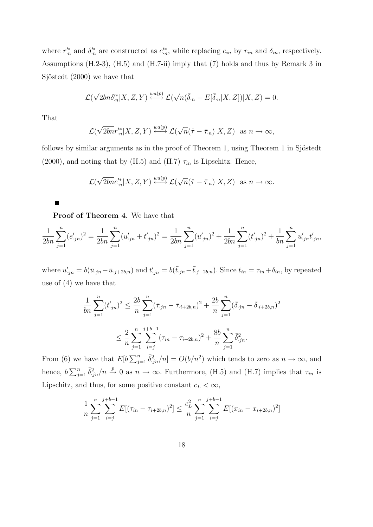where  $r'_{n}$  and  $\delta'_{n}$  are constructed as  $e'_{n}$ , while replacing  $e_{in}$  by  $r_{in}$  and  $\delta_{in}$ , respectively. Assumptions (H.2-3), (H.5) and (H.7-ii) imply that (7) holds and thus by Remark 3 in Sjöstedt  $(2000)$  we have that

$$
\mathcal{L}(\sqrt{2bn}\delta_{n}^{\prime*}|X,Z,Y)\stackrel{wa(p)}{\longleftrightarrow}\mathcal{L}(\sqrt{n}(\bar{\delta}_{n}-E[\bar{\delta}_{n}|X,Z])|X,Z)=0.
$$

That

$$
\mathcal{L}(\sqrt{2bn}r_{n}^{\prime*}|X,Z,Y)\stackrel{wa(p)}{\longleftrightarrow}\mathcal{L}(\sqrt{n}(\hat{\tau}-\bar{\tau}_{n})|X,Z) \text{ as } n\to\infty,
$$

follows by similar arguments as in the proof of Theorem 1, using Theorem 1 in Sjöstedt (2000), and noting that by (H.5) and (H.7)  $\tau_{in}$  is Lipschitz. Hence,

$$
\mathcal{L}(\sqrt{2bn}e_{n}^{*}|X,Z,Y) \xrightarrow{wa(p)} \mathcal{L}(\sqrt{n}(\hat{\tau}-\bar{\tau}_{n})|X,Z) \text{ as } n \to \infty.
$$

 $\blacksquare$ 

Proof of Theorem 4. We have that

$$
\frac{1}{2bn} \sum_{j=1}^{n} (e'_{\cdot jn})^2 = \frac{1}{2bn} \sum_{j=1}^{n} (u'_{\cdot jn} + t'_{\cdot jn})^2 = \frac{1}{2bn} \sum_{j=1}^{n} (u'_{\cdot jn})^2 + \frac{1}{2bn} \sum_{j=1}^{n} (t'_{\cdot jn})^2 + \frac{1}{bn} \sum_{j=1}^{n} u'_{\cdot jn} t'_{\cdot jn},
$$

where  $u'_{.jn} = b(\bar{u}_{.jn} - \bar{u}_{.j+2b,n})$  and  $t'_{.jn} = b(\bar{t}_{.jn} - \bar{t}_{.j+2b,n})$ . Since  $t_{in} = \tau_{in} + \delta_{in}$ , by repeated use of (4) we have that

$$
\frac{1}{bn} \sum_{j=1}^{n} (t'_{.jn})^2 \le \frac{2b}{n} \sum_{j=1}^{n} (\bar{\tau}_{.jn} - \bar{\tau}_{.i+2b,n})^2 + \frac{2b}{n} \sum_{j=1}^{n} (\bar{\delta}_{.jn} - \bar{\delta}_{.i+2b,n})^2
$$

$$
\le \frac{2}{n} \sum_{j=1}^{n} \sum_{i=j}^{j+b-1} (\tau_{in} - \tau_{i+2b,n})^2 + \frac{8b}{n} \sum_{j=1}^{n} \bar{\delta}_{.jn}^2.
$$

From (6) we have that  $E[b\sum_{j=1}^{n} \bar{\delta}_{jn}^{2}/n] = O(b/n^{2})$  which tends to zero as  $n \to \infty$ , and hence,  $b\sum_{j=1}^n \bar{\delta}_{jn}^2/n \stackrel{p}{\to} 0$  as  $n \to \infty$ . Furthermore, (H.5) and (H.7) implies that  $\tau_{in}$  is Lipschitz, and thus, for some positive constant  $c_L < \infty$ ,

$$
\frac{1}{n}\sum_{j=1}^{n}\sum_{i=j}^{j+b-1}E[(\tau_{in}-\tau_{i+2b,n})^2] \leq \frac{c_L^2}{n}\sum_{j=1}^{n}\sum_{i=j}^{j+b-1}E[(x_{in}-x_{i+2b,n})^2]
$$